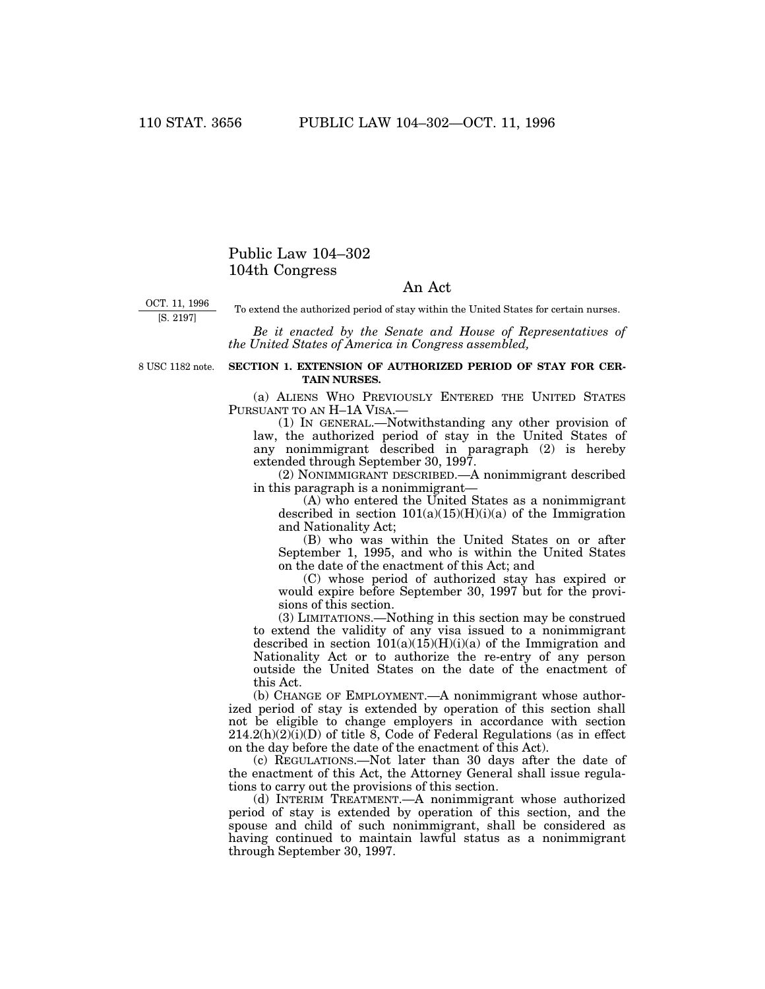## Public Law 104–302 104th Congress

## An Act

OCT. 11, 1996 [S. 2197]

To extend the authorized period of stay within the United States for certain nurses.

*Be it enacted by the Senate and House of Representatives of the United States of America in Congress assembled,*

8 USC 1182 note.

## **SECTION 1. EXTENSION OF AUTHORIZED PERIOD OF STAY FOR CER-TAIN NURSES.**

(a) ALIENS WHO PREVIOUSLY ENTERED THE UNITED STATES PURSUANT TO AN H-1A VISA.

(1) IN GENERAL.—Notwithstanding any other provision of law, the authorized period of stay in the United States of any nonimmigrant described in paragraph (2) is hereby extended through September 30, 1997.

(2) NONIMMIGRANT DESCRIBED.—A nonimmigrant described in this paragraph is a nonimmigrant—

(A) who entered the United States as a nonimmigrant described in section  $101(a)(15)(H)(i)(a)$  of the Immigration and Nationality Act;

(B) who was within the United States on or after September 1, 1995, and who is within the United States on the date of the enactment of this Act; and

(C) whose period of authorized stay has expired or would expire before September 30, 1997 but for the provisions of this section.

(3) LIMITATIONS.—Nothing in this section may be construed to extend the validity of any visa issued to a nonimmigrant described in section  $101(a)(15)(H)(i)(a)$  of the Immigration and Nationality Act or to authorize the re-entry of any person outside the United States on the date of the enactment of this Act.

(b) CHANGE OF EMPLOYMENT.—A nonimmigrant whose authorized period of stay is extended by operation of this section shall not be eligible to change employers in accordance with section  $214.2(h)(2)(i)(D)$  of title 8, Code of Federal Regulations (as in effect on the day before the date of the enactment of this Act).

(c) REGULATIONS.—Not later than 30 days after the date of the enactment of this Act, the Attorney General shall issue regulations to carry out the provisions of this section.

(d) INTERIM TREATMENT.—A nonimmigrant whose authorized period of stay is extended by operation of this section, and the spouse and child of such nonimmigrant, shall be considered as having continued to maintain lawful status as a nonimmigrant through September 30, 1997.